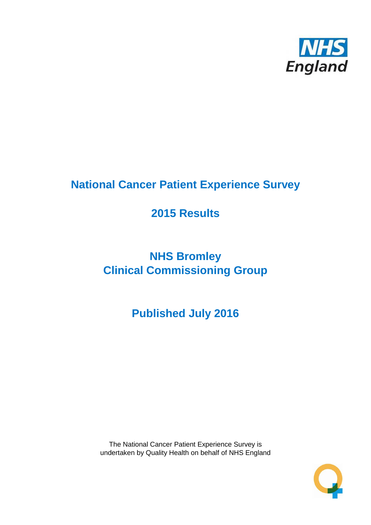

# **National Cancer Patient Experience Survey**

# **2015 Results**

# **NHS Bromley Clinical Commissioning Group**

**Published July 2016**

The National Cancer Patient Experience Survey is undertaken by Quality Health on behalf of NHS England

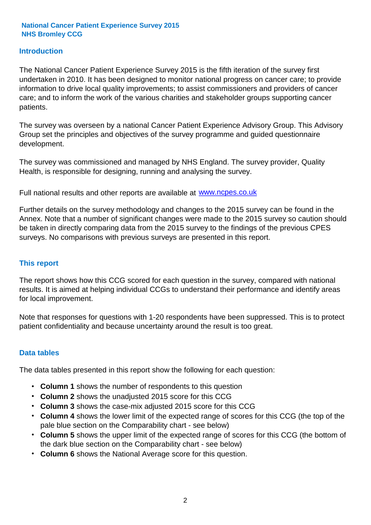### **Introduction**

The National Cancer Patient Experience Survey 2015 is the fifth iteration of the survey first undertaken in 2010. It has been designed to monitor national progress on cancer care; to provide information to drive local quality improvements; to assist commissioners and providers of cancer care; and to inform the work of the various charities and stakeholder groups supporting cancer patients.

The survey was overseen by a national Cancer Patient Experience Advisory Group. This Advisory Group set the principles and objectives of the survey programme and guided questionnaire development.

The survey was commissioned and managed by NHS England. The survey provider, Quality Health, is responsible for designing, running and analysing the survey.

Full national results and other reports are available at www.ncpes.co.uk

Further details on the survey methodology and changes to the 2015 survey can be found in the Annex. Note that a number of significant changes were made to the 2015 survey so caution should be taken in directly comparing data from the 2015 survey to the findings of the previous CPES surveys. No comparisons with previous surveys are presented in this report.

#### **This report**

The report shows how this CCG scored for each question in the survey, compared with national results. It is aimed at helping individual CCGs to understand their performance and identify areas for local improvement.

Note that responses for questions with 1-20 respondents have been suppressed. This is to protect patient confidentiality and because uncertainty around the result is too great.

#### **Data tables**

The data tables presented in this report show the following for each question:

- **Column 1** shows the number of respondents to this question
- **Column 2** shows the unadjusted 2015 score for this CCG
- **Column 3** shows the case-mix adjusted 2015 score for this CCG
- **Column 4** shows the lower limit of the expected range of scores for this CCG (the top of the pale blue section on the Comparability chart - see below)
- **Column 5** shows the upper limit of the expected range of scores for this CCG (the bottom of the dark blue section on the Comparability chart - see below)
- **Column 6** shows the National Average score for this question.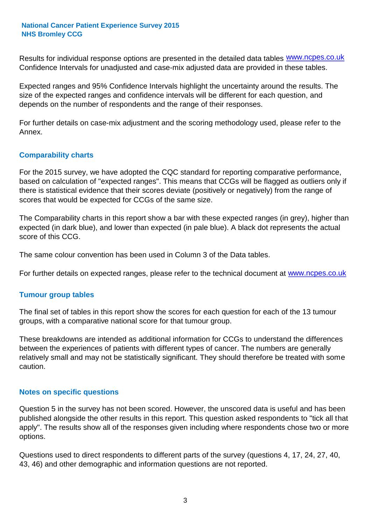Results for individual response options are presented in the detailed data tables **WWW.ncpes.co.uk** Confidence Intervals for unadjusted and case-mix adjusted data are provided in these tables.

Expected ranges and 95% Confidence Intervals highlight the uncertainty around the results. The size of the expected ranges and confidence intervals will be different for each question, and depends on the number of respondents and the range of their responses.

For further details on case-mix adjustment and the scoring methodology used, please refer to the Annex.

### **Comparability charts**

For the 2015 survey, we have adopted the CQC standard for reporting comparative performance, based on calculation of "expected ranges". This means that CCGs will be flagged as outliers only if there is statistical evidence that their scores deviate (positively or negatively) from the range of scores that would be expected for CCGs of the same size.

The Comparability charts in this report show a bar with these expected ranges (in grey), higher than expected (in dark blue), and lower than expected (in pale blue). A black dot represents the actual score of this CCG.

The same colour convention has been used in Column 3 of the Data tables.

For further details on expected ranges, please refer to the technical document at **www.ncpes.co.uk** 

#### **Tumour group tables**

The final set of tables in this report show the scores for each question for each of the 13 tumour groups, with a comparative national score for that tumour group.

These breakdowns are intended as additional information for CCGs to understand the differences between the experiences of patients with different types of cancer. The numbers are generally relatively small and may not be statistically significant. They should therefore be treated with some caution.

#### **Notes on specific questions**

Question 5 in the survey has not been scored. However, the unscored data is useful and has been published alongside the other results in this report. This question asked respondents to "tick all that apply". The results show all of the responses given including where respondents chose two or more options.

Questions used to direct respondents to different parts of the survey (questions 4, 17, 24, 27, 40, 43, 46) and other demographic and information questions are not reported.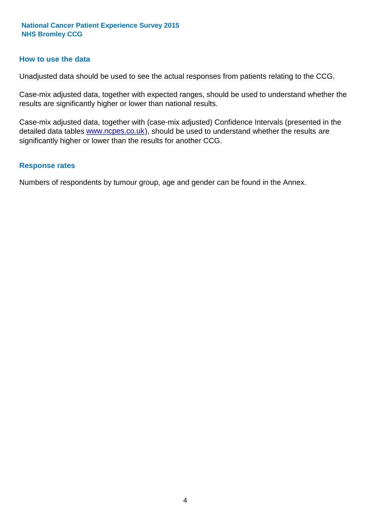#### **How to use the data**

Unadjusted data should be used to see the actual responses from patients relating to the CCG.

Case-mix adjusted data, together with expected ranges, should be used to understand whether the results are significantly higher or lower than national results.

Case-mix adjusted data, together with (case-mix adjusted) Confidence Intervals (presented in the detailed data tables **www.ncpes.co.uk**), should be used to understand whether the results are significantly higher or lower than the results for another CCG.

#### **Response rates**

Numbers of respondents by tumour group, age and gender can be found in the Annex.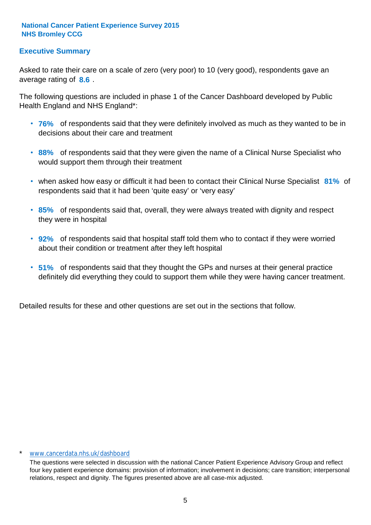# **Executive Summary**

average rating of 8.6. Asked to rate their care on a scale of zero (very poor) to 10 (very good), respondents gave an

The following questions are included in phase 1 of the Cancer Dashboard developed by Public Health England and NHS England\*:

- **76%** of respondents said that they were definitely involved as much as they wanted to be in decisions about their care and treatment
- **88%** of respondents said that they were given the name of a Clinical Nurse Specialist who would support them through their treatment
- when asked how easy or difficult it had been to contact their Clinical Nurse Specialist 81% of respondents said that it had been 'quite easy' or 'very easy'
- **85%** of respondents said that, overall, they were always treated with dignity and respect they were in hospital
- **92%** of respondents said that hospital staff told them who to contact if they were worried about their condition or treatment after they left hospital
- **51%** of respondents said that they thought the GPs and nurses at their general practice definitely did everything they could to support them while they were having cancer treatment.

Detailed results for these and other questions are set out in the sections that follow.

#### \* www.cancerdata.nhs.uk/dashboard

The questions were selected in discussion with the national Cancer Patient Experience Advisory Group and reflect four key patient experience domains: provision of information; involvement in decisions; care transition; interpersonal relations, respect and dignity. The figures presented above are all case-mix adjusted.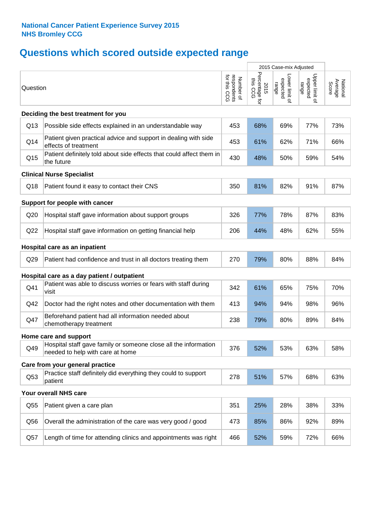# **Questions which scored outside expected range**

|          |                                                                                                     |                                                      | 2015 Case-mix Adjusted             |                                     |                                     |                              |
|----------|-----------------------------------------------------------------------------------------------------|------------------------------------------------------|------------------------------------|-------------------------------------|-------------------------------------|------------------------------|
| Question |                                                                                                     | for this<br>respondents<br>for this CCG<br>Number of | Percentage for<br>this CCG<br>2015 | Lower limit of<br>expected<br>range | Upper limit of<br>expected<br>range | Average<br>Score<br>National |
|          | Deciding the best treatment for you                                                                 |                                                      |                                    |                                     |                                     |                              |
| Q13      | Possible side effects explained in an understandable way                                            | 453                                                  | 68%                                | 69%                                 | 77%                                 | 73%                          |
| Q14      | Patient given practical advice and support in dealing with side<br>effects of treatment             | 453                                                  | 61%                                | 62%                                 | 71%                                 | 66%                          |
| Q15      | Patient definitely told about side effects that could affect them in<br>the future                  | 430                                                  | 48%                                | 50%                                 | 59%                                 | 54%                          |
|          | <b>Clinical Nurse Specialist</b>                                                                    |                                                      |                                    |                                     |                                     |                              |
| Q18      | Patient found it easy to contact their CNS                                                          | 350                                                  | 81%                                | 82%                                 | 91%                                 | 87%                          |
|          | Support for people with cancer                                                                      |                                                      |                                    |                                     |                                     |                              |
| Q20      | Hospital staff gave information about support groups                                                | 326                                                  | 77%                                | 78%                                 | 87%                                 | 83%                          |
| Q22      | Hospital staff gave information on getting financial help                                           | 206                                                  | 44%                                | 48%                                 | 62%                                 | 55%                          |
|          | Hospital care as an inpatient                                                                       |                                                      |                                    |                                     |                                     |                              |
| Q29      | Patient had confidence and trust in all doctors treating them                                       | 270                                                  | 79%                                | 80%                                 | 88%                                 | 84%                          |
|          | Hospital care as a day patient / outpatient                                                         |                                                      |                                    |                                     |                                     |                              |
| Q41      | Patient was able to discuss worries or fears with staff during<br>visit                             | 342                                                  | 61%                                | 65%                                 | 75%                                 | 70%                          |
| Q42      | Doctor had the right notes and other documentation with them                                        | 413                                                  | 94%                                | 94%                                 | 98%                                 | 96%                          |
| Q47      | Beforehand patient had all information needed about<br>chemotherapy treatment                       | 238                                                  | 79%                                | 80%                                 | 89%                                 | 84%                          |
|          | Home care and support                                                                               |                                                      |                                    |                                     |                                     |                              |
| Q49      | Hospital staff gave family or someone close all the information<br>needed to help with care at home | 376                                                  | 52%                                | 53%                                 | 63%                                 | 58%                          |
|          | Care from your general practice                                                                     |                                                      |                                    |                                     |                                     |                              |
| Q53      | Practice staff definitely did everything they could to support<br>patient                           | 278                                                  | 51%                                | 57%                                 | 68%                                 | 63%                          |
|          | Your overall NHS care                                                                               |                                                      |                                    |                                     |                                     |                              |
| Q55      | Patient given a care plan                                                                           | 351                                                  | 25%                                | 28%                                 | 38%                                 | 33%                          |
| Q56      | Overall the administration of the care was very good / good                                         | 473                                                  | 85%                                | 86%                                 | 92%                                 | 89%                          |
| Q57      | Length of time for attending clinics and appointments was right                                     | 466                                                  | 52%                                | 59%                                 | 72%                                 | 66%                          |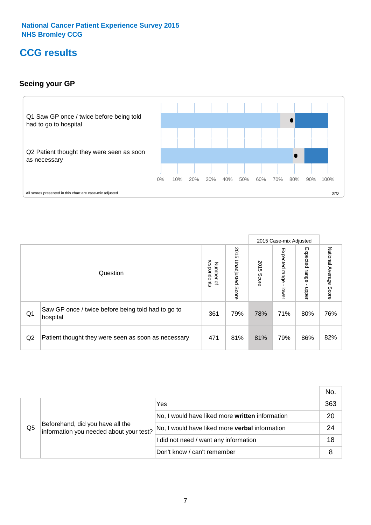# **CCG results**

# **Seeing your GP**



|    |                                                                |                          |                             |               | 2015 Case-mix Adjusted     |                            |                           |
|----|----------------------------------------------------------------|--------------------------|-----------------------------|---------------|----------------------------|----------------------------|---------------------------|
|    | Question                                                       | respondents<br>Number of | 2015<br>Unadjusted<br>Score | 2015<br>Score | Expected<br>range<br>lower | Expected<br>range<br>nbber | National Average<br>Score |
| Q1 | Saw GP once / twice before being told had to go to<br>hospital | 361                      | 79%                         | 78%           | 71%                        | 80%                        | 76%                       |
| Q2 | Patient thought they were seen as soon as necessary            | 471                      | 81%                         | 81%           | 79%                        | 86%                        | 82%                       |

|    |                                                                             |                                                 | No. |
|----|-----------------------------------------------------------------------------|-------------------------------------------------|-----|
|    | Beforehand, did you have all the<br>information you needed about your test? | Yes                                             | 363 |
|    |                                                                             | No, I would have liked more written information | 20  |
| Q5 |                                                                             | No, I would have liked more verbal information  | 24  |
|    |                                                                             | I did not need / want any information           | 18  |
|    |                                                                             | Don't know / can't remember                     | 8   |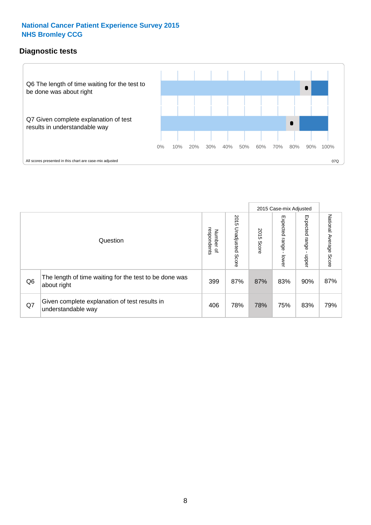# **Diagnostic tests**



|                |                                                                       |                                       |                             |               | 2015 Case-mix Adjusted  |                         |                           |
|----------------|-----------------------------------------------------------------------|---------------------------------------|-----------------------------|---------------|-------------------------|-------------------------|---------------------------|
|                | Question                                                              | respondents<br>Number<br>$\mathbf{Q}$ | 2015<br>Unadjusted<br>Score | 2015<br>Score | Expected range<br>lower | Expected range<br>nbber | National Average<br>Score |
| Q <sub>6</sub> | The length of time waiting for the test to be done was<br>about right | 399                                   | 87%                         | 87%           | 83%                     | 90%                     | 87%                       |
| Q7             | Given complete explanation of test results in<br>understandable way   | 406                                   | 78%                         | 78%           | 75%                     | 83%                     | 79%                       |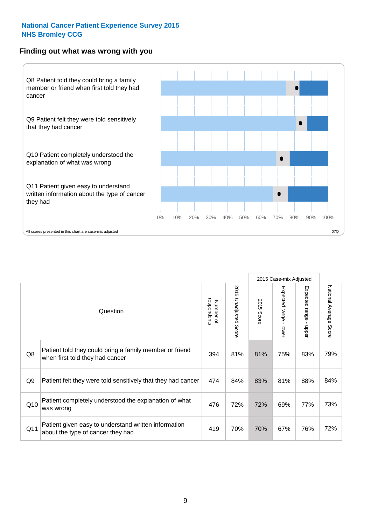### **Finding out what was wrong with you**



|     |                                                                                            |                          |                       |            | 2015 Case-mix Adjusted |                                         |                           |
|-----|--------------------------------------------------------------------------------------------|--------------------------|-----------------------|------------|------------------------|-----------------------------------------|---------------------------|
|     | Question                                                                                   | respondents<br>Number of | 2015 Unadjusted Score | 2015 Score | Expected range - lower | Expected range<br>$\mathbf{I}$<br>nbber | National Average<br>Score |
| Q8  | Patient told they could bring a family member or friend<br>when first told they had cancer | 394                      | 81%                   | 81%        | 75%                    | 83%                                     | 79%                       |
| Q9  | Patient felt they were told sensitively that they had cancer                               | 474                      | 84%                   | 83%        | 81%                    | 88%                                     | 84%                       |
| Q10 | Patient completely understood the explanation of what<br>was wrong                         | 476                      | 72%                   | 72%        | 69%                    | 77%                                     | 73%                       |
| Q11 | Patient given easy to understand written information<br>about the type of cancer they had  | 419                      | 70%                   | 70%        | 67%                    | 76%                                     | 72%                       |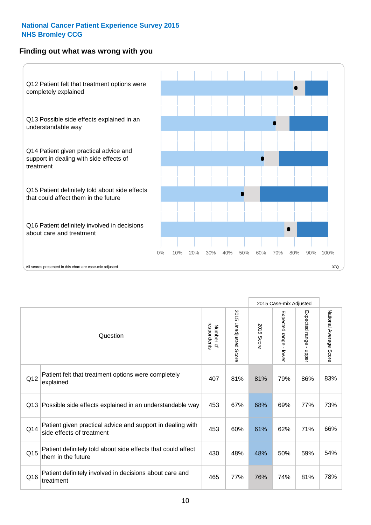# **Finding out what was wrong with you**



|     |                                                                                         |                          |                          |               | 2015 Case-mix Adjusted                  |                           |                        |
|-----|-----------------------------------------------------------------------------------------|--------------------------|--------------------------|---------------|-----------------------------------------|---------------------------|------------------------|
|     | Question                                                                                | Number of<br>respondents | 2015<br>Unadjusted Score | 2015<br>Score | Expected range<br>$\mathbf{r}$<br>lower | Expected range<br>- nbber | National Average Score |
| Q12 | Patient felt that treatment options were completely<br>explained                        | 407                      | 81%                      | 81%           | 79%                                     | 86%                       | 83%                    |
| Q13 | Possible side effects explained in an understandable way                                | 453                      | 67%                      | 68%           | 69%                                     | 77%                       | 73%                    |
| Q14 | Patient given practical advice and support in dealing with<br>side effects of treatment | 453                      | 60%                      | 61%           | 62%                                     | 71%                       | 66%                    |
| Q15 | Patient definitely told about side effects that could affect<br>them in the future      | 430                      | 48%                      | 48%           | 50%                                     | 59%                       | 54%                    |
| Q16 | Patient definitely involved in decisions about care and<br>treatment                    | 465                      | 77%                      | 76%           | 74%                                     | 81%                       | 78%                    |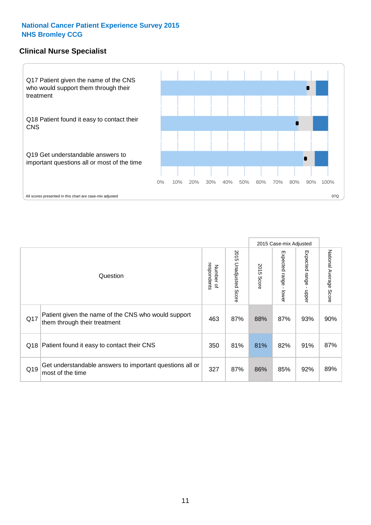# **Clinical Nurse Specialist**



|     |                                                                                     |                          |                       |               | 2015 Case-mix Adjusted  |                         |                        |
|-----|-------------------------------------------------------------------------------------|--------------------------|-----------------------|---------------|-------------------------|-------------------------|------------------------|
|     | Question                                                                            | respondents<br>Number of | 2015 Unadjusted Score | 2015<br>Score | Expected range<br>lower | Expected range<br>nbber | National Average Score |
| Q17 | Patient given the name of the CNS who would support<br>them through their treatment | 463                      | 87%                   | 88%           | 87%                     | 93%                     | 90%                    |
|     | Q18 Patient found it easy to contact their CNS                                      | 350                      | 81%                   | 81%           | 82%                     | 91%                     | 87%                    |
| Q19 | Get understandable answers to important questions all or<br>most of the time        | 327                      | 87%                   | 86%           | 85%                     | 92%                     | 89%                    |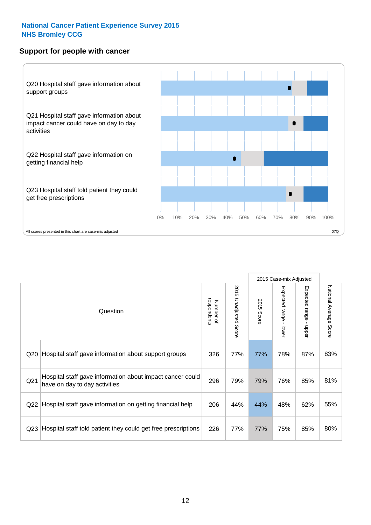### **Support for people with cancer**



|                 |                                                                                            |                          |                       |               | 2015 Case-mix Adjusted                    |                                           |                        |
|-----------------|--------------------------------------------------------------------------------------------|--------------------------|-----------------------|---------------|-------------------------------------------|-------------------------------------------|------------------------|
|                 | Question                                                                                   | respondents<br>Number of | 2015 Unadjusted Score | 2015<br>Score | Expected range<br>$\blacksquare$<br>lower | Expected range<br>$\blacksquare$<br>nbber | National Average Score |
| Q <sub>20</sub> | Hospital staff gave information about support groups                                       | 326                      | 77%                   | 77%           | 78%                                       | 87%                                       | 83%                    |
| Q21             | Hospital staff gave information about impact cancer could<br>have on day to day activities | 296                      | 79%                   | 79%           | 76%                                       | 85%                                       | 81%                    |
| Q <sub>22</sub> | Hospital staff gave information on getting financial help                                  | 206                      | 44%                   | 44%           | 48%                                       | 62%                                       | 55%                    |
| Q <sub>23</sub> | Hospital staff told patient they could get free prescriptions                              | 226                      | 77%                   | 77%           | 75%                                       | 85%                                       | 80%                    |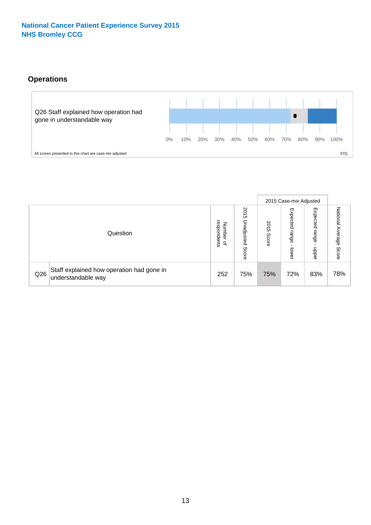# **Operations**



|     |                                                                 |                                             |                             |               | 2015 Case-mix Adjusted            |                           |                              |
|-----|-----------------------------------------------------------------|---------------------------------------------|-----------------------------|---------------|-----------------------------------|---------------------------|------------------------------|
|     | Question                                                        | respondents<br>Numbe<br>≒<br>$\overline{a}$ | 2015<br>Unadjusted<br>Score | 2015<br>Score | Expected<br>range<br><b>Lower</b> | Expected<br>range<br>ddoe | National<br>Average<br>Score |
| Q26 | Staff explained how operation had gone in<br>understandable way | 252                                         | 75%                         | 75%           | 72%                               | 83%                       | 78%                          |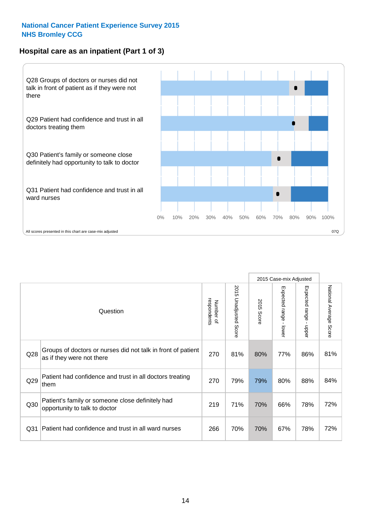# **Hospital care as an inpatient (Part 1 of 3)**



All scores presented in this chart are case-mix adjusted  $07Q$ 

|                 |                                                                                           |                          |                       |                      | 2015 Case-mix Adjusted                  |                                           |                        |
|-----------------|-------------------------------------------------------------------------------------------|--------------------------|-----------------------|----------------------|-----------------------------------------|-------------------------------------------|------------------------|
|                 | Question                                                                                  | respondents<br>Number of | 2015 Unadjusted Score | 2015<br><b>Score</b> | Expected range<br>$\mathbf{r}$<br>lower | Expected range<br>$\blacksquare$<br>nbber | National Average Score |
| Q28             | Groups of doctors or nurses did not talk in front of patient<br>as if they were not there | 270                      | 81%                   | 80%                  | 77%                                     | 86%                                       | 81%                    |
| Q29             | Patient had confidence and trust in all doctors treating<br>them                          | 270                      | 79%                   | 79%                  | 80%                                     | 88%                                       | 84%                    |
| Q30             | Patient's family or someone close definitely had<br>opportunity to talk to doctor         | 219                      | 71%                   | 70%                  | 66%                                     | 78%                                       | 72%                    |
| Q <sub>31</sub> | Patient had confidence and trust in all ward nurses                                       | 266                      | 70%                   | 70%                  | 67%                                     | 78%                                       | 72%                    |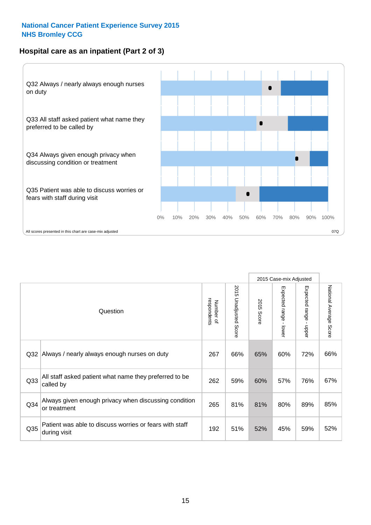# **Hospital care as an inpatient (Part 2 of 3)**



|                 |                                                                         |                          |                          |               | 2015 Case-mix Adjusted |                           |                           |
|-----------------|-------------------------------------------------------------------------|--------------------------|--------------------------|---------------|------------------------|---------------------------|---------------------------|
|                 | Question                                                                | respondents<br>Number of | 2015 Unadjusted<br>Score | 2015<br>Score | Expected range - lower | Expected range -<br>nbber | National Average<br>Score |
| Q32             | Always / nearly always enough nurses on duty                            | 267                      | 66%                      | 65%           | 60%                    | 72%                       | 66%                       |
| Q33             | All staff asked patient what name they preferred to be<br>called by     | 262                      | 59%                      | 60%           | 57%                    | 76%                       | 67%                       |
| Q34             | Always given enough privacy when discussing condition<br>or treatment   | 265                      | 81%                      | 81%           | 80%                    | 89%                       | 85%                       |
| Q <sub>35</sub> | Patient was able to discuss worries or fears with staff<br>during visit | 192                      | 51%                      | 52%           | 45%                    | 59%                       | 52%                       |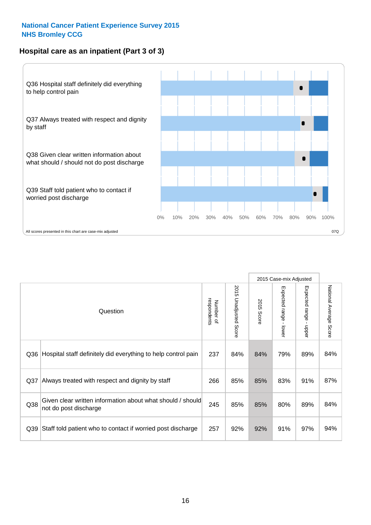# **Hospital care as an inpatient (Part 3 of 3)**



|                 |                                                                                     |                          |                                 |               | 2015 Case-mix Adjusted                    |                           |                        |
|-----------------|-------------------------------------------------------------------------------------|--------------------------|---------------------------------|---------------|-------------------------------------------|---------------------------|------------------------|
|                 | Question                                                                            | Number of<br>respondents | 2015<br><b>Unadjusted Score</b> | 2015<br>Score | Expected range<br>$\blacksquare$<br>lower | Expected range -<br>nbber | National Average Score |
| Q36             | Hospital staff definitely did everything to help control pain                       | 237                      | 84%                             | 84%           | 79%                                       | 89%                       | 84%                    |
| Q <sub>37</sub> | Always treated with respect and dignity by staff                                    | 266                      | 85%                             | 85%           | 83%                                       | 91%                       | 87%                    |
| Q38             | Given clear written information about what should / should<br>not do post discharge | 245                      | 85%                             | 85%           | 80%                                       | 89%                       | 84%                    |
| Q39             | Staff told patient who to contact if worried post discharge                         | 257                      | 92%                             | 92%           | 91%                                       | 97%                       | 94%                    |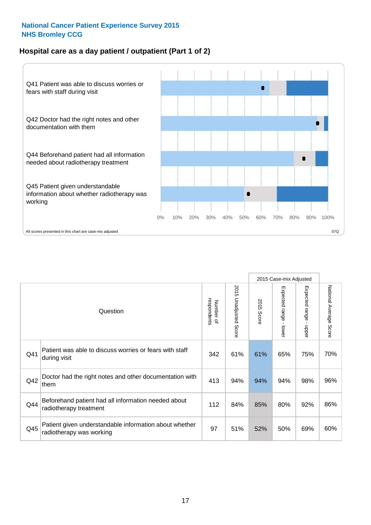# **Hospital care as a day patient / outpatient (Part 1 of 2)**



|     |                                                                                    |                          |                                 |                      | 2015 Case-mix Adjusted                  |                                         |                        |
|-----|------------------------------------------------------------------------------------|--------------------------|---------------------------------|----------------------|-----------------------------------------|-----------------------------------------|------------------------|
|     | Question                                                                           | respondents<br>Number of | 2015<br><b>Unadjusted Score</b> | 2015<br><b>Score</b> | Expected range<br>$\mathbf{r}$<br>lower | Expected range<br>$\mathbf{I}$<br>nbber | National Average Score |
| Q41 | Patient was able to discuss worries or fears with staff<br>during visit            | 342                      | 61%                             | 61%                  | 65%                                     | 75%                                     | 70%                    |
| Q42 | Doctor had the right notes and other documentation with<br>them                    | 413                      | 94%                             | 94%                  | 94%                                     | 98%                                     | 96%                    |
| Q44 | Beforehand patient had all information needed about<br>radiotherapy treatment      | 112                      | 84%                             | 85%                  | 80%                                     | 92%                                     | 86%                    |
| Q45 | Patient given understandable information about whether<br>radiotherapy was working | 97                       | 51%                             | 52%                  | 50%                                     | 69%                                     | 60%                    |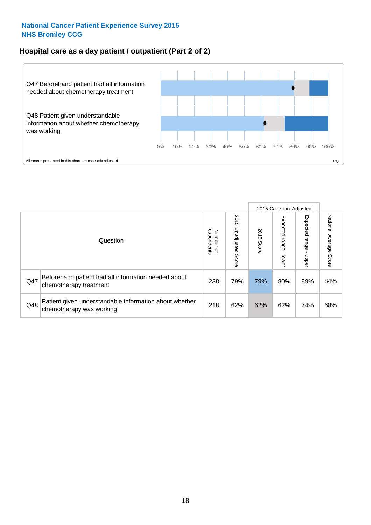# **Hospital care as a day patient / outpatient (Part 2 of 2)**



|     |                                                                                    |                                   |                             |               | 2015 Case-mix Adjusted       |                          |                           |
|-----|------------------------------------------------------------------------------------|-----------------------------------|-----------------------------|---------------|------------------------------|--------------------------|---------------------------|
|     | Question                                                                           | respondents<br>Number<br>$\Omega$ | 2015<br>Unadjusted<br>Score | 2015<br>Score | Expected<br>I range<br>lower | Expected<br>range<br>dda | National Average<br>Score |
| Q47 | Beforehand patient had all information needed about<br>chemotherapy treatment      | 238                               | 79%                         | 79%           | 80%                          | 89%                      | 84%                       |
| Q48 | Patient given understandable information about whether<br>chemotherapy was working | 218                               | 62%                         | 62%           | 62%                          | 74%                      | 68%                       |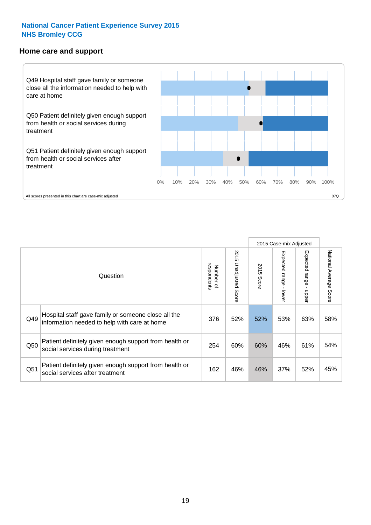#### **Home care and support**



2015 Case-mix Adjusted 2015 Unadjusted Score Expected range - upper National Average Score 2015 Unadjusted Score Expected range - lower National Average Score Expected range - lower Expected range - upper Number of<br>respondents 2015 Score respondents 2015 Score Number of Question Hospital staff gave family or someone close all the Q49 376 52% 52% 53% 63% information needed to help with care at home 58% Patient definitely given enough support from health or  $\frac{1}{250}$  social services during treatment  $\frac{1}{254}$   $\frac{1}{60\%}$  60% 60% 46% 61% 54% Patient definitely given enough support from health or Q51 social services after treatment 164 and 162 46% 46% 37% 52% 45%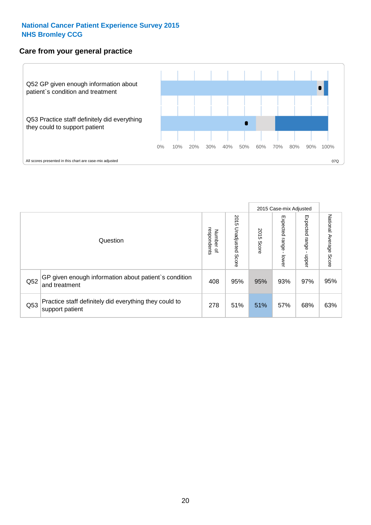# **Care from your general practice**



|     |                                                                           |                                   |                             |               | 2015 Case-mix Adjusted            |                            |                           |
|-----|---------------------------------------------------------------------------|-----------------------------------|-----------------------------|---------------|-----------------------------------|----------------------------|---------------------------|
|     | Question                                                                  | respondents<br>Number<br>$\Omega$ | 2015<br>Unadjusted<br>Score | 2015<br>Score | Expected<br><b>Lange</b><br>lower | Expected<br>range<br>nbber | National Average<br>Score |
| Q52 | GP given enough information about patient's condition<br>and treatment    | 408                               | 95%                         | 95%           | 93%                               | 97%                        | 95%                       |
| Q53 | Practice staff definitely did everything they could to<br>support patient | 278                               | 51%                         | 51%           | 57%                               | 68%                        | 63%                       |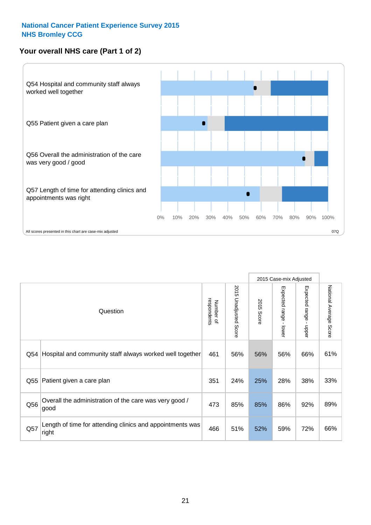# **Your overall NHS care (Part 1 of 2)**



|     |                                                                    |                          |                                 |               | 2015 Case-mix Adjusted                    |                                           |                        |
|-----|--------------------------------------------------------------------|--------------------------|---------------------------------|---------------|-------------------------------------------|-------------------------------------------|------------------------|
|     | Question                                                           | respondents<br>Number of | 2015<br><b>Unadjusted Score</b> | 2015<br>Score | Expected range<br>$\blacksquare$<br>lower | Expected range<br>$\blacksquare$<br>nbber | National Average Score |
| Q54 | Hospital and community staff always worked well together           | 461                      | 56%                             | 56%           | 56%                                       | 66%                                       | 61%                    |
| Q55 | Patient given a care plan                                          | 351                      | 24%                             | 25%           | 28%                                       | 38%                                       | 33%                    |
| Q56 | Overall the administration of the care was very good /<br>good     | 473                      | 85%                             | 85%           | 86%                                       | 92%                                       | 89%                    |
| Q57 | Length of time for attending clinics and appointments was<br>right | 466                      | 51%                             | 52%           | 59%                                       | 72%                                       | 66%                    |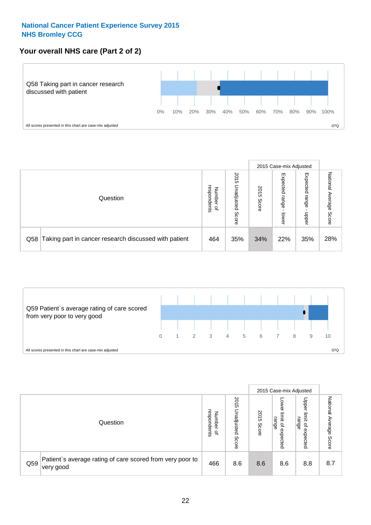# **Your overall NHS care (Part 2 of 2)**



|     |                                                       |                                  |                             |               |                            | 2015 Case-mix Adjusted     |                           |
|-----|-------------------------------------------------------|----------------------------------|-----------------------------|---------------|----------------------------|----------------------------|---------------------------|
|     | Question                                              | respondents<br>Numbe<br>$\Omega$ | 2015<br>Unadjusted<br>Score | 2015<br>Score | Expected<br>range<br>lower | Expected<br>range<br>doper | National<br>Average Score |
| Q58 | Taking part in cancer research discussed with patient | 464                              | 35%                         | 34%           | 22%                        | 35%                        | 28%                       |



|     |                                                                        |                                              |                             |               |                                         | 2015 Case-mix Adjusted                                |                              |
|-----|------------------------------------------------------------------------|----------------------------------------------|-----------------------------|---------------|-----------------------------------------|-------------------------------------------------------|------------------------------|
|     | Question                                                               | respondents<br>Number<br>$\overline{\sigma}$ | 2015<br>Jnadjusted<br>Score | 2015<br>Score | OWer<br>limit<br>range<br>٩<br>expected | Upper<br>limit<br>range<br>$\overline{a}$<br>expected | National<br>Average<br>Score |
| Q59 | Patient's average rating of care scored from very poor to<br>very good | 466                                          | 8.6                         | 8.6           | 8.6                                     | 8.8                                                   | 8.7                          |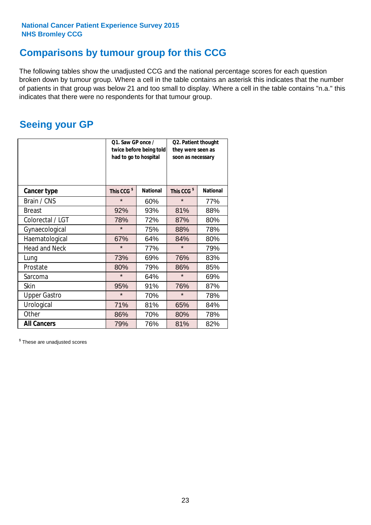# **Comparisons by tumour group for this CCG**

The following tables show the unadjusted CCG and the national percentage scores for each question broken down by tumour group. Where a cell in the table contains an asterisk this indicates that the number of patients in that group was below 21 and too small to display. Where a cell in the table contains "n.a." this indicates that there were no respondents for that tumour group.

# **Seeing your GP**

|                      | Q1. Saw GP once /<br>had to go to hospital | twice before being told | Q2. Patient thought<br>they were seen as<br>soon as necessary |                 |  |
|----------------------|--------------------------------------------|-------------------------|---------------------------------------------------------------|-----------------|--|
| <b>Cancer type</b>   | This CCG <sup>\$</sup>                     | <b>National</b>         | This CCG <sup>\$</sup>                                        | <b>National</b> |  |
| Brain / CNS          | $\star$                                    | 60%                     | $\star$                                                       | 77%             |  |
| <b>Breast</b>        | 92%                                        | 93%                     | 81%                                                           | 88%             |  |
| Colorectal / LGT     | 78%                                        | 72%                     | 87%                                                           | 80%             |  |
| Gynaecological       | $\star$                                    | 75%                     | 88%                                                           | 78%             |  |
| Haematological       | 67%                                        | 64%                     | 84%                                                           | 80%             |  |
| <b>Head and Neck</b> | $\star$                                    | 77%                     | $\star$                                                       | 79%             |  |
| Lung                 | 73%                                        | 69%                     | 76%                                                           | 83%             |  |
| Prostate             | 80%                                        | 79%                     | 86%                                                           | 85%             |  |
| Sarcoma              | $\star$                                    | 64%                     | $\star$                                                       | 69%             |  |
| Skin                 | 95%                                        | 91%                     | 76%                                                           | 87%             |  |
| <b>Upper Gastro</b>  | $\star$                                    | 70%                     | $\star$                                                       | 78%             |  |
| Urological           | 71%                                        | 81%                     | 65%                                                           | 84%             |  |
| Other                | 86%                                        | 70%                     | 80%                                                           | 78%             |  |
| <b>All Cancers</b>   | 79%                                        | 76%                     | 81%                                                           | 82%             |  |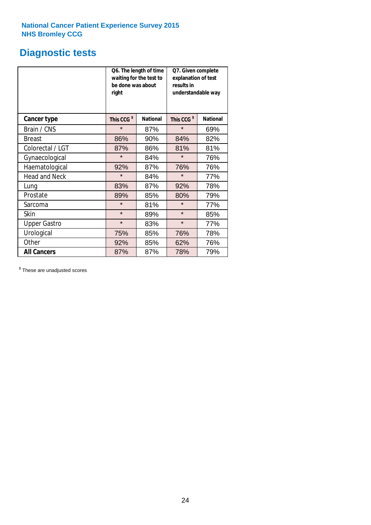# **Diagnostic tests**

|                      | be done was about<br>right | Q6. The length of time<br>waiting for the test to | Q7. Given complete<br>explanation of test<br>results in<br>understandable way |                 |  |  |
|----------------------|----------------------------|---------------------------------------------------|-------------------------------------------------------------------------------|-----------------|--|--|
| <b>Cancer type</b>   | This CCG <sup>\$</sup>     | <b>National</b>                                   | This CCG <sup>\$</sup>                                                        | <b>National</b> |  |  |
| Brain / CNS          | $\star$                    | 87%                                               | $\star$                                                                       | 69%             |  |  |
| <b>Breast</b>        | 86%                        | 90%                                               | 84%                                                                           | 82%             |  |  |
| Colorectal / LGT     | 87%                        | 86%                                               | 81%                                                                           | 81%             |  |  |
| Gynaecological       | $\star$                    | 84%                                               | $\star$                                                                       | 76%             |  |  |
| Haematological       | 92%                        | 87%                                               | 76%                                                                           | 76%             |  |  |
| <b>Head and Neck</b> | $\star$                    | 84%                                               | $\star$                                                                       | 77%             |  |  |
| Lung                 | 83%                        | 87%                                               | 92%                                                                           | 78%             |  |  |
| Prostate             | 89%                        | 85%                                               | 80%                                                                           | 79%             |  |  |
| Sarcoma              | $\star$                    | 81%                                               | $\star$                                                                       | 77%             |  |  |
| Skin                 | $\star$                    | 89%                                               | $\star$                                                                       | 85%             |  |  |
| <b>Upper Gastro</b>  | $\star$                    | 83%                                               | $\star$                                                                       | 77%             |  |  |
| Urological           | 75%                        | 85%                                               | 76%                                                                           | 78%             |  |  |
| Other                | 92%                        | 85%                                               | 62%                                                                           | 76%             |  |  |
| <b>All Cancers</b>   | 87%                        | 87%                                               | 78%                                                                           | 79%             |  |  |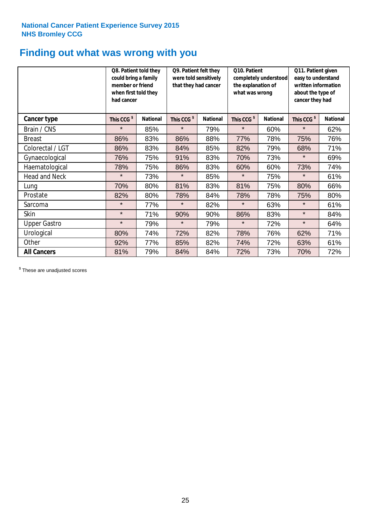# **Finding out what was wrong with you**

|                      | Q8. Patient told they<br>could bring a family<br>member or friend<br>when first told they<br>had cancer |                 | Q9. Patient felt they<br>were told sensitively<br>that they had cancer |                 | Q10. Patient<br>completely understood<br>the explanation of<br>what was wrong |                 | Q11. Patient given<br>easy to understand<br>written information<br>about the type of<br>cancer they had |                 |
|----------------------|---------------------------------------------------------------------------------------------------------|-----------------|------------------------------------------------------------------------|-----------------|-------------------------------------------------------------------------------|-----------------|---------------------------------------------------------------------------------------------------------|-----------------|
| Cancer type          | This CCG <sup>\$</sup>                                                                                  | <b>National</b> | This CCG <sup>\$</sup>                                                 | <b>National</b> | This CCG <sup>\$</sup>                                                        | <b>National</b> | This CCG <sup>\$</sup>                                                                                  | <b>National</b> |
| Brain / CNS          | $\star$                                                                                                 | 85%             | $\star$                                                                | 79%             | $\star$                                                                       | 60%             | $\star$                                                                                                 | 62%             |
| <b>Breast</b>        | 86%                                                                                                     | 83%             | 86%                                                                    | 88%             | 77%                                                                           | 78%             | 75%                                                                                                     | 76%             |
| Colorectal / LGT     | 86%                                                                                                     | 83%             | 84%                                                                    | 85%             | 82%                                                                           | 79%             | 68%                                                                                                     | 71%             |
| Gynaecological       | 76%                                                                                                     | 75%             | 91%                                                                    | 83%             | 70%                                                                           | 73%             | $\star$                                                                                                 | 69%             |
| Haematological       | 78%                                                                                                     | 75%             | 86%                                                                    | 83%             | 60%                                                                           | 60%             | 73%                                                                                                     | 74%             |
| <b>Head and Neck</b> | $\star$                                                                                                 | 73%             | $\star$                                                                | 85%             | $\star$                                                                       | 75%             | $\star$                                                                                                 | 61%             |
| Lung                 | 70%                                                                                                     | 80%             | 81%                                                                    | 83%             | 81%                                                                           | 75%             | 80%                                                                                                     | 66%             |
| Prostate             | 82%                                                                                                     | 80%             | 78%                                                                    | 84%             | 78%                                                                           | 78%             | 75%                                                                                                     | 80%             |
| Sarcoma              | $\star$                                                                                                 | 77%             | $\star$                                                                | 82%             | $\star$                                                                       | 63%             | $\star$                                                                                                 | 61%             |
| Skin                 | $\star$                                                                                                 | 71%             | 90%                                                                    | 90%             | 86%                                                                           | 83%             | $\star$                                                                                                 | 84%             |
| <b>Upper Gastro</b>  | $\star$                                                                                                 | 79%             | $\star$                                                                | 79%             | $\star$                                                                       | 72%             | $\star$                                                                                                 | 64%             |
| Urological           | 80%                                                                                                     | 74%             | 72%                                                                    | 82%             | 78%                                                                           | 76%             | 62%                                                                                                     | 71%             |
| Other                | 92%                                                                                                     | 77%             | 85%                                                                    | 82%             | 74%                                                                           | 72%             | 63%                                                                                                     | 61%             |
| <b>All Cancers</b>   | 81%                                                                                                     | 79%             | 84%                                                                    | 84%             | 72%                                                                           | 73%             | 70%                                                                                                     | 72%             |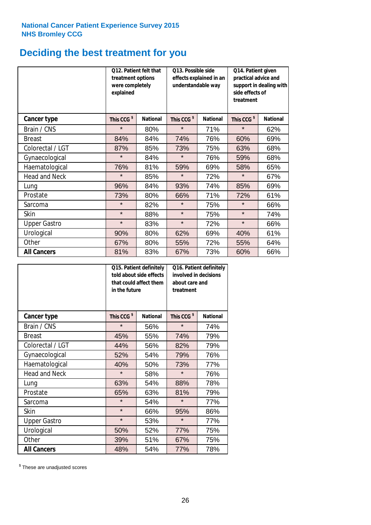# **Deciding the best treatment for you**

|                      | <b>Q12. Patient felt that</b><br>treatment options<br>were completely<br>explained |                 | Q13. Possible side<br>understandable way | effects explained in an | Q14. Patient given<br>practical advice and<br>support in dealing with<br>side effects of<br>treatment |                 |  |
|----------------------|------------------------------------------------------------------------------------|-----------------|------------------------------------------|-------------------------|-------------------------------------------------------------------------------------------------------|-----------------|--|
| <b>Cancer type</b>   | This CCG <sup>\$</sup>                                                             | <b>National</b> | This CCG <sup>\$</sup>                   | <b>National</b>         | This CCG <sup>\$</sup>                                                                                | <b>National</b> |  |
| Brain / CNS          | $\star$                                                                            | 80%             | $\star$                                  | 71%                     | $\star$                                                                                               | 62%             |  |
| <b>Breast</b>        | 84%                                                                                | 84%             | 74%                                      | 76%                     | 60%                                                                                                   | 69%             |  |
| Colorectal / LGT     | 87%                                                                                | 85%             | 73%                                      | 75%                     | 63%                                                                                                   | 68%             |  |
| Gynaecological       | $\star$                                                                            | 84%             | $\star$                                  | 76%                     | 59%                                                                                                   | 68%             |  |
| Haematological       | 76%                                                                                | 81%             | 59%                                      | 69%                     | 58%                                                                                                   | 65%             |  |
| <b>Head and Neck</b> | $\star$                                                                            | 85%             | $\star$                                  | 72%                     | $\star$                                                                                               | 67%             |  |
| Lung                 | 96%                                                                                | 84%             | 93%                                      | 74%                     | 85%                                                                                                   | 69%             |  |
| Prostate             | 73%                                                                                | 80%             | 66%                                      | 71%                     | 72%                                                                                                   | 61%             |  |
| Sarcoma              | $\star$                                                                            | 82%             | $\star$                                  | 75%                     | $\star$                                                                                               | 66%             |  |
| Skin                 | $\star$                                                                            | 88%             | $\star$                                  | 75%                     | $\star$                                                                                               | 74%             |  |
| <b>Upper Gastro</b>  | $\star$                                                                            | 83%             | $\star$                                  | 72%                     | $\star$                                                                                               | 66%             |  |
| Urological           | 90%                                                                                | 80%             | 62%                                      | 69%                     | 40%                                                                                                   | 61%             |  |
| Other                | 67%                                                                                | 80%             | 55%                                      | 72%                     | 55%                                                                                                   | 64%             |  |
| <b>All Cancers</b>   | 81%                                                                                | 83%             | 67%                                      | 73%                     | 60%                                                                                                   | 66%             |  |

|                      | in the future          | Q15. Patient definitely<br>told about side effects<br>that could affect them | Q16. Patient definitely<br>involved in decisions<br>about care and<br>treatment |                 |  |
|----------------------|------------------------|------------------------------------------------------------------------------|---------------------------------------------------------------------------------|-----------------|--|
| <b>Cancer type</b>   | This CCG <sup>\$</sup> | <b>National</b>                                                              | This CCG <sup>\$</sup>                                                          | <b>National</b> |  |
| Brain / CNS          | $\star$                | 56%                                                                          | $\star$                                                                         | 74%             |  |
| <b>Breast</b>        | 45%                    | 55%                                                                          | 74%                                                                             | 79%             |  |
| Colorectal / LGT     | 44%                    | 56%                                                                          | 82%                                                                             | 79%             |  |
| Gynaecological       | 54%<br>52%             |                                                                              | 79%                                                                             | 76%             |  |
| Haematological       | 40%                    | 50%                                                                          | 73%                                                                             | 77%             |  |
| <b>Head and Neck</b> | $\star$                | 58%                                                                          | $\star$                                                                         | 76%             |  |
| Lung                 | 63%                    | 54%                                                                          | 88%                                                                             | 78%             |  |
| Prostate             | 65%                    | 63%                                                                          | 81%                                                                             | 79%             |  |
| Sarcoma              | $\star$                | 54%                                                                          | $\star$                                                                         | 77%             |  |
| Skin                 | $\star$                | 66%                                                                          | 95%                                                                             | 86%             |  |
| <b>Upper Gastro</b>  | $\star$                | 53%                                                                          | $\star$                                                                         | 77%             |  |
| Urological           | 50%                    | 52%                                                                          | 77%                                                                             | 75%             |  |
| Other                | 39%                    | 51%                                                                          | 67%                                                                             | 75%             |  |
| <b>All Cancers</b>   | 48%                    | 54%                                                                          | 77%                                                                             | 78%             |  |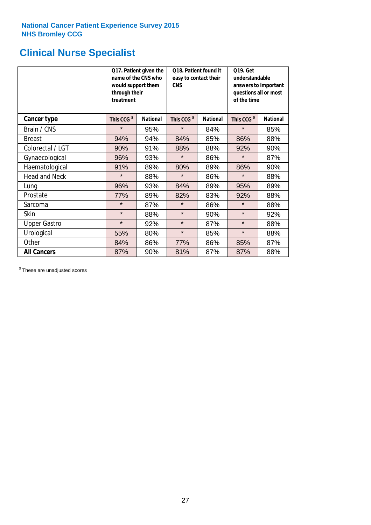# **Clinical Nurse Specialist**

|                      | would support them<br>through their<br>treatment | Q17. Patient given the<br>name of the CNS who | Q18. Patient found it<br>easy to contact their<br><b>CNS</b> |                 | <b>Q19. Get</b><br>understandable<br>answers to important<br>questions all or most<br>of the time |                 |  |
|----------------------|--------------------------------------------------|-----------------------------------------------|--------------------------------------------------------------|-----------------|---------------------------------------------------------------------------------------------------|-----------------|--|
| <b>Cancer type</b>   | This CCG <sup>\$</sup>                           | <b>National</b>                               | This CCG <sup>\$</sup>                                       | <b>National</b> | This CCG <sup>\$</sup>                                                                            | <b>National</b> |  |
| Brain / CNS          | $\star$                                          | 95%                                           | $\star$                                                      | 84%             | $\star$                                                                                           | 85%             |  |
| <b>Breast</b>        | 94%                                              | 94%                                           | 84%                                                          | 85%             | 86%                                                                                               | 88%             |  |
| Colorectal / LGT     | 90%                                              | 91%                                           | 88%                                                          | 88%             | 92%                                                                                               | 90%             |  |
| Gynaecological       | 96%                                              | 93%                                           | $\star$                                                      | 86%             | $\star$                                                                                           | 87%             |  |
| Haematological       | 91%                                              | 89%                                           | 80%                                                          | 89%             | 86%                                                                                               | 90%             |  |
| <b>Head and Neck</b> | $\star$                                          | 88%                                           | $\star$                                                      | 86%             | $\star$                                                                                           | 88%             |  |
| Lung                 | 96%                                              | 93%                                           | 84%                                                          | 89%             | 95%                                                                                               | 89%             |  |
| Prostate             | 77%                                              | 89%                                           | 82%                                                          | 83%             | 92%                                                                                               | 88%             |  |
| Sarcoma              | $\star$                                          | 87%                                           | $\star$                                                      | 86%             | $\star$                                                                                           | 88%             |  |
| Skin                 | $\star$                                          | 88%                                           | $\star$                                                      | 90%             | $\star$                                                                                           | 92%             |  |
| <b>Upper Gastro</b>  | $\star$                                          | 92%                                           | $\star$                                                      | 87%             | $\star$                                                                                           | 88%             |  |
| Urological           | 55%                                              | 80%                                           | $\star$                                                      | 85%             | $\star$                                                                                           | 88%             |  |
| Other                | 84%                                              | 86%                                           | 77%                                                          | 86%             | 85%                                                                                               | 87%             |  |
| <b>All Cancers</b>   | 87%                                              | 90%                                           | 81%                                                          | 87%             | 87%                                                                                               | 88%             |  |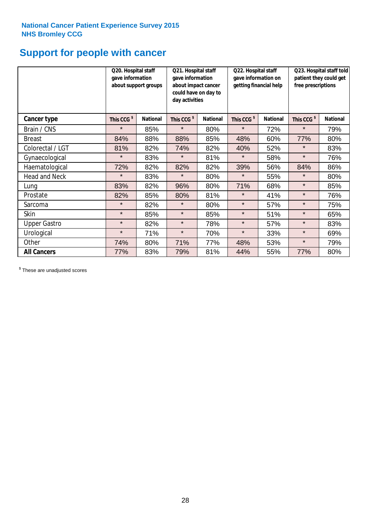# **Support for people with cancer**

|                      |                        | Q20. Hospital staff<br>Q21. Hospital staff<br>gave information<br>gave information<br>about support groups<br>about impact cancer<br>could have on day to<br>day activities |                        | Q22. Hospital staff<br>gave information on<br>getting financial help |                        | Q23. Hospital staff told<br>patient they could get<br>free prescriptions |                        |                 |
|----------------------|------------------------|-----------------------------------------------------------------------------------------------------------------------------------------------------------------------------|------------------------|----------------------------------------------------------------------|------------------------|--------------------------------------------------------------------------|------------------------|-----------------|
| Cancer type          | This CCG <sup>\$</sup> | <b>National</b>                                                                                                                                                             | This CCG <sup>\$</sup> | <b>National</b>                                                      | This CCG <sup>\$</sup> | <b>National</b>                                                          | This CCG <sup>\$</sup> | <b>National</b> |
| Brain / CNS          | $\star$                | 85%                                                                                                                                                                         | $\star$                | 80%                                                                  | $\star$                | 72%                                                                      | $\star$                | 79%             |
| <b>Breast</b>        | 84%                    | 88%                                                                                                                                                                         | 88%                    | 85%                                                                  | 48%                    | 60%                                                                      | 77%                    | 80%             |
| Colorectal / LGT     | 81%                    | 82%                                                                                                                                                                         | 74%                    | 82%                                                                  | 40%                    | 52%                                                                      | $\star$                | 83%             |
| Gynaecological       | $\star$                | 83%                                                                                                                                                                         | $\star$                | 81%                                                                  | $\star$                | 58%                                                                      | $\star$                | 76%             |
| Haematological       | 72%                    | 82%                                                                                                                                                                         | 82%                    | 82%                                                                  | 39%                    | 56%                                                                      | 84%                    | 86%             |
| <b>Head and Neck</b> | $\star$                | 83%                                                                                                                                                                         | $\star$                | 80%                                                                  | $\star$                | 55%                                                                      | $\star$                | 80%             |
| Lung                 | 83%                    | 82%                                                                                                                                                                         | 96%                    | 80%                                                                  | 71%                    | 68%                                                                      | $\star$                | 85%             |
| Prostate             | 82%                    | 85%                                                                                                                                                                         | 80%                    | 81%                                                                  | $\star$                | 41%                                                                      | $\star$                | 76%             |
| Sarcoma              | $\star$                | 82%                                                                                                                                                                         | $\star$                | 80%                                                                  | $\star$                | 57%                                                                      | $\star$                | 75%             |
| Skin                 | $\star$                | 85%                                                                                                                                                                         | $\star$                | 85%                                                                  | $\star$                | 51%                                                                      | $\star$                | 65%             |
| <b>Upper Gastro</b>  | $\star$                | 82%                                                                                                                                                                         | $\star$                | 78%                                                                  | $\star$                | 57%                                                                      | $\star$                | 83%             |
| Urological           | $\star$                | 71%                                                                                                                                                                         | $\star$                | 70%                                                                  | $\star$                | 33%                                                                      | $\star$                | 69%             |
| Other                | 74%                    | 80%                                                                                                                                                                         | 71%                    | 77%                                                                  | 48%                    | 53%                                                                      | $\star$                | 79%             |
| <b>All Cancers</b>   | 77%                    | 83%                                                                                                                                                                         | 79%                    | 81%                                                                  | 44%                    | 55%                                                                      | 77%                    | 80%             |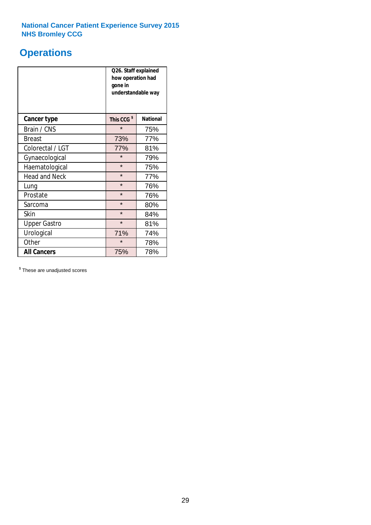# **Operations**

|                      | Q26. Staff explained<br>how operation had<br>gone in<br>understandable way |                 |  |  |
|----------------------|----------------------------------------------------------------------------|-----------------|--|--|
| <b>Cancer type</b>   | This CCG <sup>\$</sup>                                                     | <b>National</b> |  |  |
| Brain / CNS          | $\star$                                                                    | 75%             |  |  |
| <b>Breast</b>        | 73%                                                                        | 77%             |  |  |
| Colorectal / LGT     | 77%                                                                        | 81%             |  |  |
| Gynaecological       | $\star$                                                                    | 79%             |  |  |
| Haematological       | $\star$                                                                    | 75%             |  |  |
| <b>Head and Neck</b> | $\star$                                                                    | 77%             |  |  |
| Lung                 | $\star$                                                                    | 76%             |  |  |
| Prostate             | $\star$                                                                    | 76%             |  |  |
| Sarcoma              | $\star$                                                                    | 80%             |  |  |
| Skin                 | $\star$                                                                    | 84%             |  |  |
| <b>Upper Gastro</b>  | $\star$                                                                    | 81%             |  |  |
| Urological           | 71%                                                                        | 74%             |  |  |
| Other                | $\star$                                                                    | 78%             |  |  |
| <b>All Cancers</b>   | 75%                                                                        | 78%             |  |  |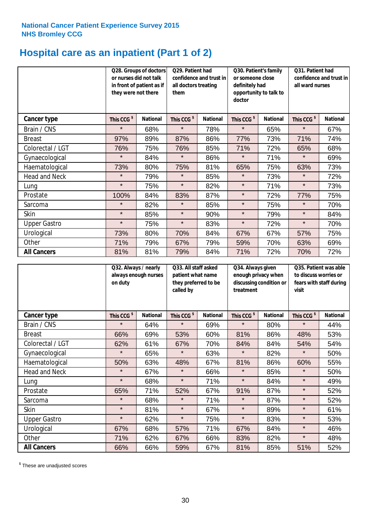# **Hospital care as an inpatient (Part 1 of 2)**

|                      | or nurses did not talk<br>they were not there | Q28. Groups of doctors<br>in front of patient as if | Q29. Patient had<br>confidence and trust in<br>all doctors treating<br>them |                 | Q30. Patient's family<br>or someone close<br>definitely had<br>opportunity to talk to<br>doctor |                 | Q31. Patient had<br>confidence and trust in<br>all ward nurses |                 |
|----------------------|-----------------------------------------------|-----------------------------------------------------|-----------------------------------------------------------------------------|-----------------|-------------------------------------------------------------------------------------------------|-----------------|----------------------------------------------------------------|-----------------|
| Cancer type          | This CCG <sup>\$</sup>                        | <b>National</b>                                     | This CCG <sup>\$</sup>                                                      | <b>National</b> | This CCG <sup>\$</sup>                                                                          | <b>National</b> | This CCG <sup>\$</sup>                                         | <b>National</b> |
| Brain / CNS          | $\star$                                       | 68%                                                 | $\star$                                                                     | 78%             | $\star$                                                                                         | 65%             | $\star$                                                        | 67%             |
| <b>Breast</b>        | 97%                                           | 89%                                                 | 87%                                                                         | 86%             | 77%                                                                                             | 73%             | 71%                                                            | 74%             |
| Colorectal / LGT     | 76%                                           | 75%                                                 | 76%                                                                         | 85%             | 71%                                                                                             | 72%             | 65%                                                            | 68%             |
| Gynaecological       | $\star$                                       | 84%                                                 | $\star$                                                                     | 86%             | $\star$                                                                                         | 71%             | $\star$                                                        | 69%             |
| Haematological       | 73%                                           | 80%                                                 | 75%                                                                         | 81%             | 65%                                                                                             | 75%             | 63%                                                            | 73%             |
| <b>Head and Neck</b> | $\star$                                       | 79%                                                 | $\star$                                                                     | 85%             | $\star$                                                                                         | 73%             | $\star$                                                        | 72%             |
| Lung                 | $\star$                                       | 75%                                                 | $\star$                                                                     | 82%             | $\star$                                                                                         | 71%             | $\star$                                                        | 73%             |
| Prostate             | 100%                                          | 84%                                                 | 83%                                                                         | 87%             | $\star$                                                                                         | 72%             | 77%                                                            | 75%             |
| Sarcoma              | $\star$                                       | 82%                                                 | $\star$                                                                     | 85%             | $\star$                                                                                         | 75%             | $\star$                                                        | 70%             |
| Skin                 | $\star$                                       | 85%                                                 | $\star$                                                                     | 90%             | $\star$                                                                                         | 79%             | $\star$                                                        | 84%             |
| <b>Upper Gastro</b>  | $\star$                                       | 75%                                                 | $\star$                                                                     | 83%             | $\star$                                                                                         | 72%             | $\star$                                                        | 70%             |
| Urological           | 73%                                           | 80%                                                 | 70%                                                                         | 84%             | 67%                                                                                             | 67%             | 57%                                                            | 75%             |
| Other                | 71%                                           | 79%                                                 | 67%                                                                         | 79%             | 59%                                                                                             | 70%             | 63%                                                            | 69%             |
| <b>All Cancers</b>   | 81%                                           | 81%                                                 | 79%                                                                         | 84%             | 71%                                                                                             | 72%             | 70%                                                            | 72%             |

|                      | Q32. Always / nearly<br>on duty | always enough nurses | Q33. All staff asked<br>patient what name<br>they preferred to be<br>called by |                 | Q34. Always given<br>enough privacy when<br>discussing condition or<br>treatment |                 | Q35. Patient was able<br>to discuss worries or<br>fears with staff during<br>visit |                 |
|----------------------|---------------------------------|----------------------|--------------------------------------------------------------------------------|-----------------|----------------------------------------------------------------------------------|-----------------|------------------------------------------------------------------------------------|-----------------|
| <b>Cancer type</b>   | This CCG <sup>\$</sup>          | <b>National</b>      | This CCG <sup>\$</sup>                                                         | <b>National</b> | This CCG <sup>\$</sup>                                                           | <b>National</b> | This CCG <sup>\$</sup>                                                             | <b>National</b> |
| Brain / CNS          | $\star$                         | 64%                  | $\star$                                                                        | 69%             | $\star$                                                                          | 80%             | $\star$                                                                            | 44%             |
| <b>Breast</b>        | 66%                             | 69%                  | 53%                                                                            | 60%             | 81%                                                                              | 86%             | 48%                                                                                | 53%             |
| Colorectal / LGT     | 62%                             | 61%                  | 67%                                                                            | 70%             | 84%                                                                              | 84%             | 54%                                                                                | 54%             |
| Gynaecological       | $\star$                         | 65%                  | $\star$                                                                        | 63%             | $\star$                                                                          | 82%             | $\star$                                                                            | 50%             |
| Haematological       | 50%                             | 63%                  | 48%                                                                            | 67%             | 81%                                                                              | 86%             | 60%                                                                                | 55%             |
| <b>Head and Neck</b> | $\star$                         | 67%                  | $\star$                                                                        | 66%             | $\star$                                                                          | 85%             | $\star$                                                                            | 50%             |
| Lung                 | $\star$                         | 68%                  | $\star$                                                                        | 71%             | $\star$                                                                          | 84%             | $\star$                                                                            | 49%             |
| Prostate             | 65%                             | 71%                  | 52%                                                                            | 67%             | 91%                                                                              | 87%             | $\star$                                                                            | 52%             |
| Sarcoma              | $\star$                         | 68%                  | $\star$                                                                        | 71%             | $\star$                                                                          | 87%             | $\star$                                                                            | 52%             |
| Skin                 | $\star$                         | 81%                  | $\star$                                                                        | 67%             | $\star$                                                                          | 89%             | $\star$                                                                            | 61%             |
| <b>Upper Gastro</b>  | $\star$                         | 62%                  | $\star$                                                                        | 75%             | $\star$                                                                          | 83%             | $\star$                                                                            | 53%             |
| Urological           | 67%                             | 68%                  | 57%                                                                            | 71%             | 67%                                                                              | 84%             | $\star$                                                                            | 46%             |
| Other                | 71%                             | 62%                  | 67%                                                                            | 66%             | 83%                                                                              | 82%             | $\star$                                                                            | 48%             |
| <b>All Cancers</b>   | 66%                             | 66%                  | 59%                                                                            | 67%             | 81%                                                                              | 85%             | 51%                                                                                | 52%             |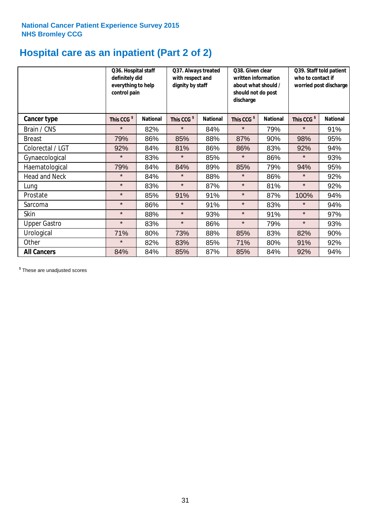# **Hospital care as an inpatient (Part 2 of 2)**

|                      | Q36. Hospital staff<br>definitely did<br>everything to help<br>control pain |                 | Q37. Always treated<br>with respect and<br>dignity by staff |                 | Q38. Given clear<br>written information<br>about what should /<br>should not do post<br>discharge |                 | Q39. Staff told patient<br>who to contact if<br>worried post discharge |                 |
|----------------------|-----------------------------------------------------------------------------|-----------------|-------------------------------------------------------------|-----------------|---------------------------------------------------------------------------------------------------|-----------------|------------------------------------------------------------------------|-----------------|
| Cancer type          | This CCG <sup>\$</sup>                                                      | <b>National</b> | This CCG <sup>\$</sup>                                      | <b>National</b> | This CCG <sup>\$</sup>                                                                            | <b>National</b> | This CCG <sup>\$</sup>                                                 | <b>National</b> |
| Brain / CNS          | $\star$                                                                     | 82%             | $\star$                                                     | 84%             | $\star$                                                                                           | 79%             | $\star$                                                                | 91%             |
| <b>Breast</b>        | 79%                                                                         | 86%             | 85%                                                         | 88%             | 87%                                                                                               | 90%             | 98%                                                                    | 95%             |
| Colorectal / LGT     | 92%                                                                         | 84%             | 81%                                                         | 86%             | 86%                                                                                               | 83%             | 92%                                                                    | 94%             |
| Gynaecological       | $\star$                                                                     | 83%             | $\star$                                                     | 85%             | $\star$                                                                                           | 86%             | $\star$                                                                | 93%             |
| Haematological       | 79%                                                                         | 84%             | 84%                                                         | 89%             | 85%                                                                                               | 79%             | 94%                                                                    | 95%             |
| <b>Head and Neck</b> | $\star$                                                                     | 84%             | $\star$                                                     | 88%             | $\star$                                                                                           | 86%             | $\star$                                                                | 92%             |
| Lung                 | $\star$                                                                     | 83%             | $\star$                                                     | 87%             | $\star$                                                                                           | 81%             | $\star$                                                                | 92%             |
| Prostate             | $\star$                                                                     | 85%             | 91%                                                         | 91%             | $\star$                                                                                           | 87%             | 100%                                                                   | 94%             |
| Sarcoma              | $\star$                                                                     | 86%             | $\star$                                                     | 91%             | $\star$                                                                                           | 83%             | $\star$                                                                | 94%             |
| Skin                 | $\star$                                                                     | 88%             | $\star$                                                     | 93%             | $\star$                                                                                           | 91%             | $\star$                                                                | 97%             |
| <b>Upper Gastro</b>  | $\star$                                                                     | 83%             | $\star$                                                     | 86%             | $\star$                                                                                           | 79%             | $\star$                                                                | 93%             |
| Urological           | 71%                                                                         | 80%             | 73%                                                         | 88%             | 85%                                                                                               | 83%             | 82%                                                                    | 90%             |
| Other                | $\star$                                                                     | 82%             | 83%                                                         | 85%             | 71%                                                                                               | 80%             | 91%                                                                    | 92%             |
| <b>All Cancers</b>   | 84%                                                                         | 84%             | 85%                                                         | 87%             | 85%                                                                                               | 84%             | 92%                                                                    | 94%             |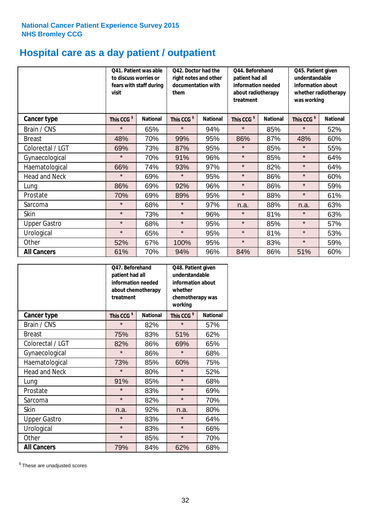# **Hospital care as a day patient / outpatient**

|                      | to discuss worries or<br>visit | Q41. Patient was able<br>fears with staff during | Q42. Doctor had the<br>right notes and other<br>documentation with<br>them |                 | Q44. Beforehand<br>patient had all<br>information needed<br>about radiotherapy<br>treatment |                 | Q45. Patient given<br>understandable<br>information about<br>whether radiotherapy<br>was working |                 |
|----------------------|--------------------------------|--------------------------------------------------|----------------------------------------------------------------------------|-----------------|---------------------------------------------------------------------------------------------|-----------------|--------------------------------------------------------------------------------------------------|-----------------|
| <b>Cancer type</b>   | This CCG <sup>\$</sup>         | <b>National</b>                                  | This CCG <sup>\$</sup>                                                     | <b>National</b> | This CCG <sup>\$</sup>                                                                      | <b>National</b> | This CCG <sup>\$</sup>                                                                           | <b>National</b> |
| Brain / CNS          | $\star$                        | 65%                                              | $\star$                                                                    | 94%             | $\star$                                                                                     | 85%             | $\star$                                                                                          | 52%             |
| <b>Breast</b>        | 48%                            | 70%                                              | 99%                                                                        | 95%             | 86%                                                                                         | 87%             | 48%                                                                                              | 60%             |
| Colorectal / LGT     | 69%                            | 73%                                              | 87%                                                                        | 95%             | $\star$                                                                                     | 85%             | $\star$                                                                                          | 55%             |
| Gynaecological       | $\star$                        | 70%                                              | 91%                                                                        | 96%             | $\star$                                                                                     | 85%             | $\star$                                                                                          | 64%             |
| Haematological       | 66%                            | 74%                                              | 93%                                                                        | 97%             | $\star$                                                                                     | 82%             | $\star$                                                                                          | 64%             |
| <b>Head and Neck</b> | $\star$                        | 69%                                              | $\star$                                                                    | 95%             | $\star$                                                                                     | 86%             | $\star$                                                                                          | 60%             |
| Lung                 | 86%                            | 69%                                              | 92%                                                                        | 96%             | $\star$                                                                                     | 86%             | $\star$                                                                                          | 59%             |
| Prostate             | 70%                            | 69%                                              | 89%                                                                        | 95%             | $\star$                                                                                     | 88%             | $\star$                                                                                          | 61%             |
| Sarcoma              | $\star$                        | 68%                                              | $\star$                                                                    | 97%             | n.a.                                                                                        | 88%             | n.a.                                                                                             | 63%             |
| Skin                 | $\star$                        | 73%                                              | $\star$                                                                    | 96%             | $\star$                                                                                     | 81%             | $\star$                                                                                          | 63%             |
| <b>Upper Gastro</b>  | $\star$                        | 68%                                              | $\star$                                                                    | 95%             | $\star$                                                                                     | 85%             | $\star$                                                                                          | 57%             |
| Urological           | $\star$                        | 65%                                              | $\star$                                                                    | 95%             | $\star$                                                                                     | 81%             | $\star$                                                                                          | 53%             |
| Other                | 52%                            | 67%                                              | 100%                                                                       | 95%             | $\star$                                                                                     | 83%             | $\star$                                                                                          | 59%             |
| <b>All Cancers</b>   | 61%                            | 70%                                              | 94%                                                                        | 96%             | 84%                                                                                         | 86%             | 51%                                                                                              | 60%             |

|                      | O47. Beforehand<br>understandable<br>patient had all<br>information needed<br>whether<br>about chemotherapy<br>treatment<br>working |                 |                        | Q48. Patient given<br>information about<br>chemotherapy was |  |
|----------------------|-------------------------------------------------------------------------------------------------------------------------------------|-----------------|------------------------|-------------------------------------------------------------|--|
| <b>Cancer type</b>   | This CCG <sup>\$</sup>                                                                                                              | <b>National</b> | This CCG <sup>\$</sup> | <b>National</b>                                             |  |
| Brain / CNS          | $\star$                                                                                                                             | 82%             | $\star$                | 57%                                                         |  |
| <b>Breast</b>        | 75%                                                                                                                                 | 83%             | 51%                    | 62%                                                         |  |
| Colorectal / LGT     | 82%                                                                                                                                 | 86%             | 69%                    | 65%                                                         |  |
| Gynaecological       | $\star$                                                                                                                             | 86%             | $\star$                | 68%                                                         |  |
| Haematological       | 73%                                                                                                                                 | 85%             | 60%                    | 75%                                                         |  |
| <b>Head and Neck</b> | $\star$                                                                                                                             | 80%             | $\star$                | 52%                                                         |  |
| Lung                 | 91%                                                                                                                                 | 85%             | $\star$                | 68%                                                         |  |
| Prostate             | $\star$                                                                                                                             | 83%             | $\star$                | 69%                                                         |  |
| Sarcoma              | $\star$                                                                                                                             | 82%             | $\star$                | 70%                                                         |  |
| Skin                 | n.a.                                                                                                                                | 92%             | n.a.                   | 80%                                                         |  |
| <b>Upper Gastro</b>  | $\star$                                                                                                                             | 83%             | $\star$                | 64%                                                         |  |
| Urological           | $\star$                                                                                                                             | 83%             | $\star$                | 66%                                                         |  |
| Other                | $\star$                                                                                                                             | 85%             | $\star$                | 70%                                                         |  |
| <b>All Cancers</b>   | 79%                                                                                                                                 | 84%             | 62%                    | 68%                                                         |  |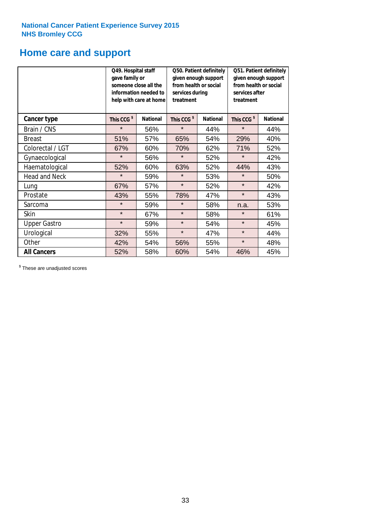# **Home care and support**

|                      | Q49. Hospital staff<br>gave family or | someone close all the<br>information needed to<br>help with care at home | Q50. Patient definitely<br>given enough support<br>from health or social<br>services during<br>treatment |                 | Q51. Patient definitely<br>given enough support<br>from health or social<br>services after<br>treatment |                 |
|----------------------|---------------------------------------|--------------------------------------------------------------------------|----------------------------------------------------------------------------------------------------------|-----------------|---------------------------------------------------------------------------------------------------------|-----------------|
| <b>Cancer type</b>   | This CCG <sup>\$</sup>                | <b>National</b>                                                          | This CCG <sup>\$</sup>                                                                                   | <b>National</b> | This CCG <sup>\$</sup>                                                                                  | <b>National</b> |
| Brain / CNS          | $\star$                               | 56%                                                                      | $\star$                                                                                                  | 44%             | $\star$                                                                                                 | 44%             |
| <b>Breast</b>        | 51%                                   | 57%                                                                      | 65%                                                                                                      | 54%             | 29%                                                                                                     | 40%             |
| Colorectal / LGT     | 67%                                   | 60%                                                                      | 70%                                                                                                      | 62%             | 71%                                                                                                     | 52%             |
| Gynaecological       | $\star$                               | 56%                                                                      | $\star$                                                                                                  | 52%             | $\star$                                                                                                 | 42%             |
| Haematological       | 52%                                   | 60%                                                                      | 63%                                                                                                      | 52%             | 44%                                                                                                     | 43%             |
| <b>Head and Neck</b> | $\star$                               | 59%                                                                      | $\star$                                                                                                  | 53%             | $\star$                                                                                                 | 50%             |
| Lung                 | 67%                                   | 57%                                                                      | $\star$                                                                                                  | 52%             | $\star$                                                                                                 | 42%             |
| Prostate             | 43%                                   | 55%                                                                      | 78%                                                                                                      | 47%             | $\star$                                                                                                 | 43%             |
| Sarcoma              | $\star$                               | 59%                                                                      | $\star$                                                                                                  | 58%             | n.a.                                                                                                    | 53%             |
| Skin                 | $\star$                               | 67%                                                                      | $\star$                                                                                                  | 58%             | $\star$                                                                                                 | 61%             |
| <b>Upper Gastro</b>  | $\star$                               | 59%                                                                      | $\star$                                                                                                  | 54%             | $\star$                                                                                                 | 45%             |
| Urological           | 32%                                   | 55%                                                                      | $\star$                                                                                                  | 47%             | $\star$                                                                                                 | 44%             |
| Other                | 42%                                   | 54%                                                                      | 56%                                                                                                      | 55%             | $\star$                                                                                                 | 48%             |
| <b>All Cancers</b>   | 52%                                   | 58%                                                                      | 60%                                                                                                      | 54%             | 46%                                                                                                     | 45%             |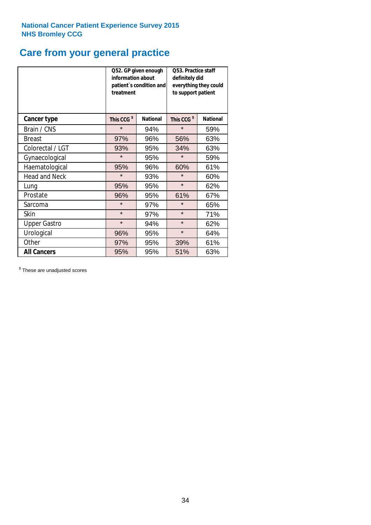# **Care from your general practice**

|                      | information about<br>treatment | Q52. GP given enough<br>patient's condition and | <b>O53. Practice staff</b><br>definitely did<br>everything they could<br>to support patient |                 |  |
|----------------------|--------------------------------|-------------------------------------------------|---------------------------------------------------------------------------------------------|-----------------|--|
| <b>Cancer type</b>   | This CCG <sup>\$</sup>         | <b>National</b>                                 | This CCG <sup>\$</sup>                                                                      | <b>National</b> |  |
| Brain / CNS          | $\star$                        | 94%                                             | $\star$                                                                                     | 59%             |  |
| <b>Breast</b>        | 97%                            | 96%                                             | 56%                                                                                         | 63%             |  |
| Colorectal / LGT     | 93%                            | 95%                                             | 34%                                                                                         | 63%             |  |
| Gynaecological       | $\star$                        | 95%                                             | $\star$                                                                                     | 59%             |  |
| Haematological       | 95%                            | 96%                                             | 60%                                                                                         | 61%             |  |
| <b>Head and Neck</b> | $\star$                        | 93%                                             | $\star$                                                                                     | 60%             |  |
| Lung                 | 95%                            | 95%                                             | $\star$                                                                                     | 62%             |  |
| Prostate             | 96%                            | 95%                                             | 61%                                                                                         | 67%             |  |
| Sarcoma              | $\star$                        | 97%                                             | $\star$                                                                                     | 65%             |  |
| Skin                 | $\star$                        | 97%                                             | $\star$                                                                                     | 71%             |  |
| <b>Upper Gastro</b>  | $\star$                        | 94%                                             | $\star$                                                                                     | 62%             |  |
| Urological           | 96%                            | 95%                                             | $\star$                                                                                     | 64%             |  |
| Other                | 97%                            | 95%                                             | 39%                                                                                         | 61%             |  |
| <b>All Cancers</b>   | 95%                            | 95%                                             | 51%                                                                                         | 63%             |  |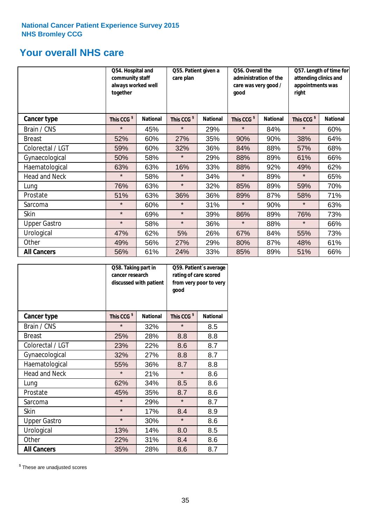# **Your overall NHS care**

|                      | Q54. Hospital and<br>community staff<br>always worked well<br>together |                 | Q55. Patient given a<br>care plan |                 | Q56. Overall the<br>administration of the<br>care was very good /<br>qood |                 | Q57. Length of time for<br>attending clinics and<br>appointments was<br>right |                 |
|----------------------|------------------------------------------------------------------------|-----------------|-----------------------------------|-----------------|---------------------------------------------------------------------------|-----------------|-------------------------------------------------------------------------------|-----------------|
| <b>Cancer type</b>   | This CCG <sup>\$</sup>                                                 | <b>National</b> | This CCG <sup>\$</sup>            | <b>National</b> | This CCG <sup>\$</sup>                                                    | <b>National</b> | This CCG <sup>\$</sup>                                                        | <b>National</b> |
| Brain / CNS          | $\star$                                                                | 45%             | $\star$                           | 29%             | $\star$                                                                   | 84%             | $\star$                                                                       | 60%             |
| <b>Breast</b>        | 52%                                                                    | 60%             | 27%                               | 35%             | 90%                                                                       | 90%             | 38%                                                                           | 64%             |
| Colorectal / LGT     | 59%                                                                    | 60%             | 32%                               | 36%             | 84%                                                                       | 88%             | 57%                                                                           | 68%             |
| Gynaecological       | 50%                                                                    | 58%             | $\star$                           | 29%             | 88%                                                                       | 89%             | 61%                                                                           | 66%             |
| Haematological       | 63%                                                                    | 63%             | 16%                               | 33%             | 88%                                                                       | 92%             | 49%                                                                           | 62%             |
| <b>Head and Neck</b> | $\star$                                                                | 58%             | $\star$                           | 34%             | $\star$                                                                   | 89%             | $\star$                                                                       | 65%             |
| Lung                 | 76%                                                                    | 63%             | $\star$                           | 32%             | 85%                                                                       | 89%             | 59%                                                                           | 70%             |
| Prostate             | 51%                                                                    | 63%             | 36%                               | 36%             | 89%                                                                       | 87%             | 58%                                                                           | 71%             |
| Sarcoma              | $\star$                                                                | 60%             | $\star$                           | 31%             | $\star$                                                                   | 90%             | $\star$                                                                       | 63%             |
| Skin                 | $\star$                                                                | 69%             | $\star$                           | 39%             | 86%                                                                       | 89%             | 76%                                                                           | 73%             |
| <b>Upper Gastro</b>  | $\star$                                                                | 58%             | $\star$                           | 36%             | $\star$                                                                   | 88%             | $\star$                                                                       | 66%             |
| Urological           | 47%                                                                    | 62%             | 5%                                | 26%             | 67%                                                                       | 84%             | 55%                                                                           | 73%             |
| Other                | 49%                                                                    | 56%             | 27%                               | 29%             | 80%                                                                       | 87%             | 48%                                                                           | 61%             |
| <b>All Cancers</b>   | 56%                                                                    | 61%             | 24%                               | 33%             | 85%                                                                       | 89%             | 51%                                                                           | 66%             |

|                      | Q58. Taking part in<br>cancer research | discussed with patient | Q59. Patient's average<br>rating of care scored<br>from very poor to very<br>good |                 |  |
|----------------------|----------------------------------------|------------------------|-----------------------------------------------------------------------------------|-----------------|--|
| <b>Cancer type</b>   | This CCG <sup>\$</sup>                 | <b>National</b>        | This CCG <sup>\$</sup>                                                            | <b>National</b> |  |
| Brain / CNS          | $\star$                                | 32%                    | $\star$                                                                           | 8.5             |  |
| <b>Breast</b>        | 25%                                    | 28%                    | 8.8                                                                               | 8.8             |  |
| Colorectal / LGT     | 23%                                    | 22%                    | 8.6                                                                               | 8.7             |  |
| Gynaecological       | 32%                                    | 27%                    | 8.8                                                                               | 8.7             |  |
| Haematological       | 55%                                    | 36%                    | 8.7                                                                               | 8.8             |  |
| <b>Head and Neck</b> | $\star$                                | 21%                    | $\star$                                                                           | 8.6             |  |
| Lung                 | 62%                                    | 34%                    | 8.5                                                                               | 8.6             |  |
| Prostate             | 45%                                    | 35%                    | 8.7                                                                               | 8.6             |  |
| Sarcoma              | $\star$                                | 29%                    | $\star$                                                                           | 8.7             |  |
| Skin                 | $\star$                                | 17%                    | 8.4                                                                               | 8.9             |  |
| <b>Upper Gastro</b>  | $\star$                                | 30%                    | $\star$                                                                           | 8.6             |  |
| Urological           | 13%                                    | 14%                    | 8.0                                                                               | 8.5             |  |
| Other                | 22%                                    | 31%                    | 8.4                                                                               | 8.6             |  |
| <b>All Cancers</b>   | 35%                                    | 28%                    | 8.6                                                                               | 8.7             |  |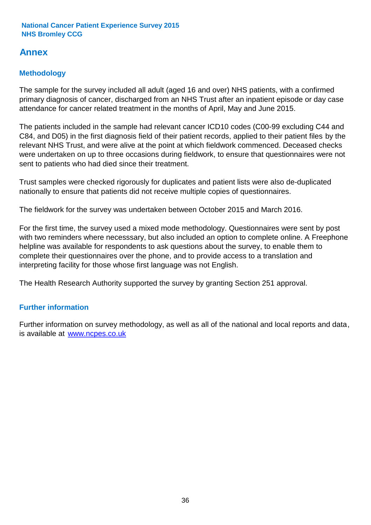# **Annex**

# **Methodology**

The sample for the survey included all adult (aged 16 and over) NHS patients, with a confirmed primary diagnosis of cancer, discharged from an NHS Trust after an inpatient episode or day case attendance for cancer related treatment in the months of April, May and June 2015.

The patients included in the sample had relevant cancer ICD10 codes (C00-99 excluding C44 and C84, and D05) in the first diagnosis field of their patient records, applied to their patient files by the relevant NHS Trust, and were alive at the point at which fieldwork commenced. Deceased checks were undertaken on up to three occasions during fieldwork, to ensure that questionnaires were not sent to patients who had died since their treatment.

Trust samples were checked rigorously for duplicates and patient lists were also de-duplicated nationally to ensure that patients did not receive multiple copies of questionnaires.

The fieldwork for the survey was undertaken between October 2015 and March 2016.

For the first time, the survey used a mixed mode methodology. Questionnaires were sent by post with two reminders where necesssary, but also included an option to complete online. A Freephone helpline was available for respondents to ask questions about the survey, to enable them to complete their questionnaires over the phone, and to provide access to a translation and interpreting facility for those whose first language was not English.

The Health Research Authority supported the survey by granting Section 251 approval.

# **Further information**

Further information on survey methodology, as well as all of the national and local reports and data, is available at www.ncpes.co.uk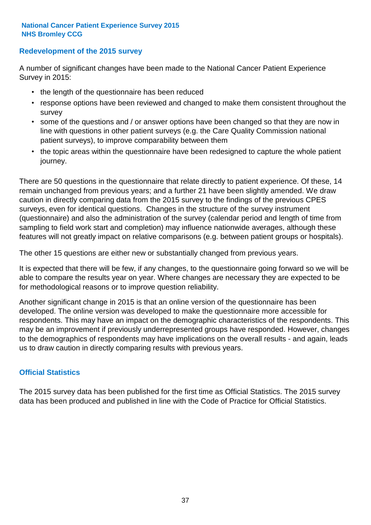# **Redevelopment of the 2015 survey**

A number of significant changes have been made to the National Cancer Patient Experience Survey in 2015:

- the length of the questionnaire has been reduced
- response options have been reviewed and changed to make them consistent throughout the survey
- some of the questions and / or answer options have been changed so that they are now in line with questions in other patient surveys (e.g. the Care Quality Commission national patient surveys), to improve comparability between them
- the topic areas within the questionnaire have been redesigned to capture the whole patient journey.

There are 50 questions in the questionnaire that relate directly to patient experience. Of these, 14 remain unchanged from previous years; and a further 21 have been slightly amended. We draw caution in directly comparing data from the 2015 survey to the findings of the previous CPES surveys, even for identical questions. Changes in the structure of the survey instrument (questionnaire) and also the administration of the survey (calendar period and length of time from sampling to field work start and completion) may influence nationwide averages, although these features will not greatly impact on relative comparisons (e.g. between patient groups or hospitals).

The other 15 questions are either new or substantially changed from previous years.

It is expected that there will be few, if any changes, to the questionnaire going forward so we will be able to compare the results year on year. Where changes are necessary they are expected to be for methodological reasons or to improve question reliability.

Another significant change in 2015 is that an online version of the questionnaire has been developed. The online version was developed to make the questionnaire more accessible for respondents. This may have an impact on the demographic characteristics of the respondents. This may be an improvement if previously underrepresented groups have responded. However, changes to the demographics of respondents may have implications on the overall results - and again, leads us to draw caution in directly comparing results with previous years.

# **Official Statistics**

The 2015 survey data has been published for the first time as Official Statistics. The 2015 survey data has been produced and published in line with the Code of Practice for Official Statistics.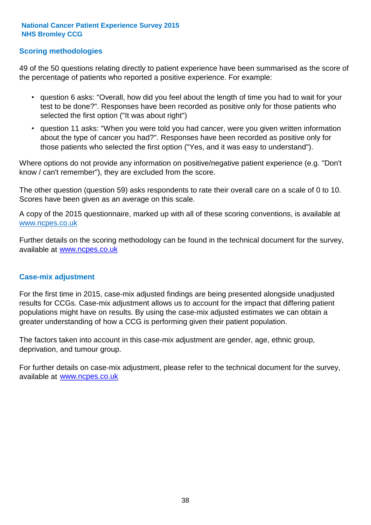# **Scoring methodologies**

49 of the 50 questions relating directly to patient experience have been summarised as the score of the percentage of patients who reported a positive experience. For example:

- question 6 asks: "Overall, how did you feel about the length of time you had to wait for your test to be done?". Responses have been recorded as positive only for those patients who selected the first option ("It was about right")
- question 11 asks: "When you were told you had cancer, were you given written information about the type of cancer you had?". Responses have been recorded as positive only for those patients who selected the first option ("Yes, and it was easy to understand").

Where options do not provide any information on positive/negative patient experience (e.g. "Don't know / can't remember"), they are excluded from the score.

The other question (question 59) asks respondents to rate their overall care on a scale of 0 to 10. Scores have been given as an average on this scale.

A copy of the 2015 questionnaire, marked up with all of these scoring conventions, is available at www.ncpes.co.uk

Further details on the scoring methodology can be found in the technical document for the survey, available at <u>www.ncpes.co.uk</u>

#### **Case-mix adjustment**

For the first time in 2015, case-mix adjusted findings are being presented alongside unadjusted results for CCGs. Case-mix adjustment allows us to account for the impact that differing patient populations might have on results. By using the case-mix adjusted estimates we can obtain a greater understanding of how a CCG is performing given their patient population.

The factors taken into account in this case-mix adjustment are gender, age, ethnic group, deprivation, and tumour group.

For further details on case-mix adjustment, please refer to the technical document for the survey, available at www.ncpes.co.uk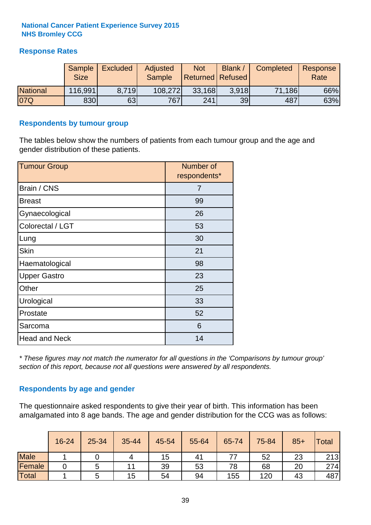# **Response Rates**

|                 | <b>Sample</b><br><b>Size</b> | <b>Excluded</b> | Adjusted<br><b>Sample</b> | <b>Not</b><br><b>Returned Refused</b> | <b>Blank</b> | <b>Completed</b> | Response<br>Rate |
|-----------------|------------------------------|-----------------|---------------------------|---------------------------------------|--------------|------------------|------------------|
| <b>National</b> | 116,991                      | 8.719           | 108,272                   | 33,168                                | 3.918        | 71,186           | 66%              |
| 07Q             | 830                          | 63              | 767                       | 241                                   | 39           | 487              | 63%              |

#### **Respondents by tumour group**

The tables below show the numbers of patients from each tumour group and the age and gender distribution of these patients.

| <b>Tumour Group</b>  | Number of<br>respondents* |
|----------------------|---------------------------|
| Brain / CNS          | 7                         |
| <b>Breast</b>        | 99                        |
| Gynaecological       | 26                        |
| Colorectal / LGT     | 53                        |
| Lung                 | 30                        |
| <b>Skin</b>          | 21                        |
| Haematological       | 98                        |
| <b>Upper Gastro</b>  | 23                        |
| Other                | 25                        |
| Urological           | 33                        |
| Prostate             | 52                        |
| Sarcoma              | 6                         |
| <b>Head and Neck</b> | 14                        |

*\* These figures may not match the numerator for all questions in the 'Comparisons by tumour group' section of this report, because not all questions were answered by all respondents.*

# **Respondents by age and gender**

The questionnaire asked respondents to give their year of birth. This information has been amalgamated into 8 age bands. The age and gender distribution for the CCG was as follows:

|             | 16-24 | 25-34 | 35-44 | 45-54 | 55-64 | 65-74 | 75-84 | $85+$ | Total |
|-------------|-------|-------|-------|-------|-------|-------|-------|-------|-------|
| <b>Male</b> |       |       | 4     | 15    | 41    |       | 52    | 23    | 213   |
| Female      |       | G     | 11    | 39    | 53    | 78    | 68    | 20    | 274   |
| Total       |       | ີ     | 15    | 54    | 94    | 155   | 120   | 43    | 487   |